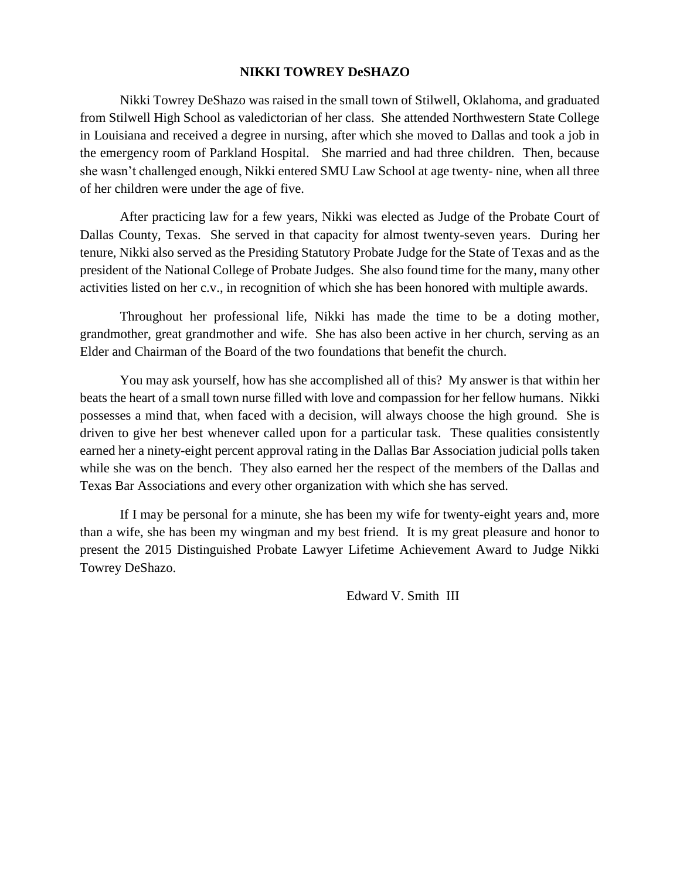### **NIKKI TOWREY DeSHAZO**

Nikki Towrey DeShazo was raised in the small town of Stilwell, Oklahoma, and graduated from Stilwell High School as valedictorian of her class. She attended Northwestern State College in Louisiana and received a degree in nursing, after which she moved to Dallas and took a job in the emergency room of Parkland Hospital. She married and had three children. Then, because she wasn't challenged enough, Nikki entered SMU Law School at age twenty- nine, when all three of her children were under the age of five.

After practicing law for a few years, Nikki was elected as Judge of the Probate Court of Dallas County, Texas. She served in that capacity for almost twenty-seven years. During her tenure, Nikki also served as the Presiding Statutory Probate Judge for the State of Texas and as the president of the National College of Probate Judges. She also found time for the many, many other activities listed on her c.v., in recognition of which she has been honored with multiple awards.

Throughout her professional life, Nikki has made the time to be a doting mother, grandmother, great grandmother and wife. She has also been active in her church, serving as an Elder and Chairman of the Board of the two foundations that benefit the church.

You may ask yourself, how has she accomplished all of this? My answer is that within her beats the heart of a small town nurse filled with love and compassion for her fellow humans. Nikki possesses a mind that, when faced with a decision, will always choose the high ground. She is driven to give her best whenever called upon for a particular task. These qualities consistently earned her a ninety-eight percent approval rating in the Dallas Bar Association judicial polls taken while she was on the bench. They also earned her the respect of the members of the Dallas and Texas Bar Associations and every other organization with which she has served.

If I may be personal for a minute, she has been my wife for twenty-eight years and, more than a wife, she has been my wingman and my best friend. It is my great pleasure and honor to present the 2015 Distinguished Probate Lawyer Lifetime Achievement Award to Judge Nikki Towrey DeShazo.

Edward V. Smith III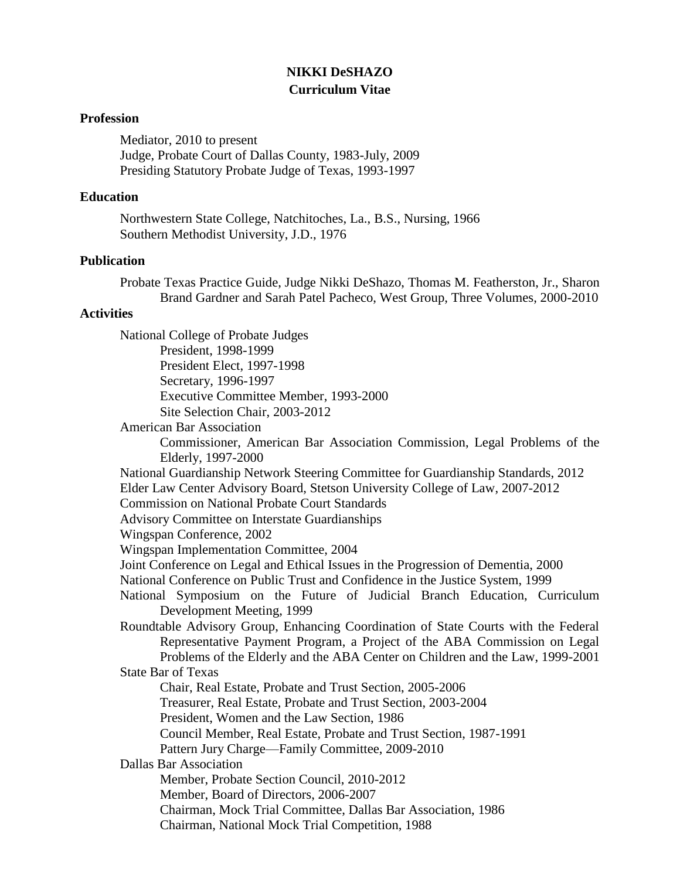# **NIKKI DeSHAZO Curriculum Vitae**

## **Profession**

Mediator, 2010 to present Judge, Probate Court of Dallas County, 1983-July, 2009 Presiding Statutory Probate Judge of Texas, 1993-1997

## **Education**

Northwestern State College, Natchitoches, La., B.S., Nursing, 1966 Southern Methodist University, J.D., 1976

### **Publication**

Probate Texas Practice Guide, Judge Nikki DeShazo, Thomas M. Featherston, Jr., Sharon Brand Gardner and Sarah Patel Pacheco, West Group, Three Volumes, 2000-2010

# **Activities**

| National College of Probate Judges                                                 |
|------------------------------------------------------------------------------------|
| President, 1998-1999                                                               |
| President Elect, 1997-1998                                                         |
| Secretary, 1996-1997                                                               |
| Executive Committee Member, 1993-2000                                              |
| Site Selection Chair, 2003-2012                                                    |
| <b>American Bar Association</b>                                                    |
| Commissioner, American Bar Association Commission, Legal Problems of the           |
| Elderly, 1997-2000                                                                 |
| National Guardianship Network Steering Committee for Guardianship Standards, 2012  |
| Elder Law Center Advisory Board, Stetson University College of Law, 2007-2012      |
| <b>Commission on National Probate Court Standards</b>                              |
| <b>Advisory Committee on Interstate Guardianships</b>                              |
| Wingspan Conference, 2002                                                          |
| Wingspan Implementation Committee, 2004                                            |
| Joint Conference on Legal and Ethical Issues in the Progression of Dementia, 2000  |
| National Conference on Public Trust and Confidence in the Justice System, 1999     |
| National Symposium on the Future of Judicial Branch Education, Curriculum          |
| Development Meeting, 1999                                                          |
| Roundtable Advisory Group, Enhancing Coordination of State Courts with the Federal |
| Representative Payment Program, a Project of the ABA Commission on Legal           |
| Problems of the Elderly and the ABA Center on Children and the Law, 1999-2001      |
| <b>State Bar of Texas</b>                                                          |
| Chair, Real Estate, Probate and Trust Section, 2005-2006                           |
| Treasurer, Real Estate, Probate and Trust Section, 2003-2004                       |
| President, Women and the Law Section, 1986                                         |
| Council Member, Real Estate, Probate and Trust Section, 1987-1991                  |
| Pattern Jury Charge—Family Committee, 2009-2010                                    |
| <b>Dallas Bar Association</b>                                                      |
| Member, Probate Section Council, 2010-2012                                         |
| Member, Board of Directors, 2006-2007                                              |
| Chairman, Mock Trial Committee, Dallas Bar Association, 1986                       |
| Chairman, National Mock Trial Competition, 1988                                    |